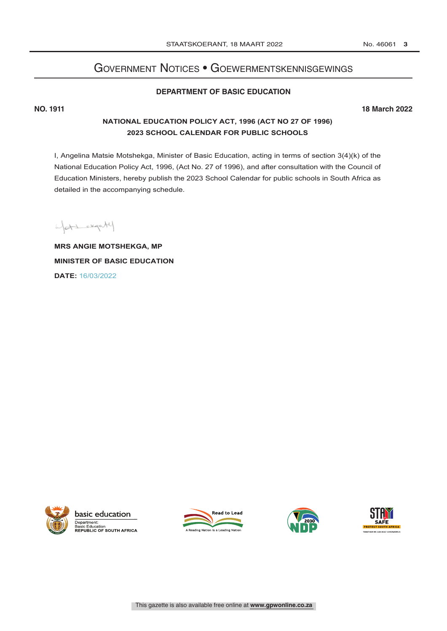# Government Notices • Goewermentskennisgewings

# **DEPARTMENT OF BASIC EDUCATION**

**NO. 1911 18 March 2022**

### **NATIONAL EDUCATION POLICY ACT, 1996 (ACT NO 27 OF 1996) 2023 SCHOOL CALENDAR FOR PUBLIC SCHOOLS**

I, Angelina Matsie Motshekga, Minister of Basic Education, acting in terms of section 3(4)(k) of the National Education Policy Act, 1996, (Act No. 27 of 1996), and after consultation with the Council of Education Ministers, hereby publish the 2023 School Calendar for public schools in South Africa as detailed in the accompanying schedule.

yat experted

**MRS ANGIE MOTSHEKGA, MP MINISTER OF BASIC EDUCATION DATE:** 16/03/2022



basic education Department: Basic Education<br>REPUBLIC OF SOUTH AFRICA





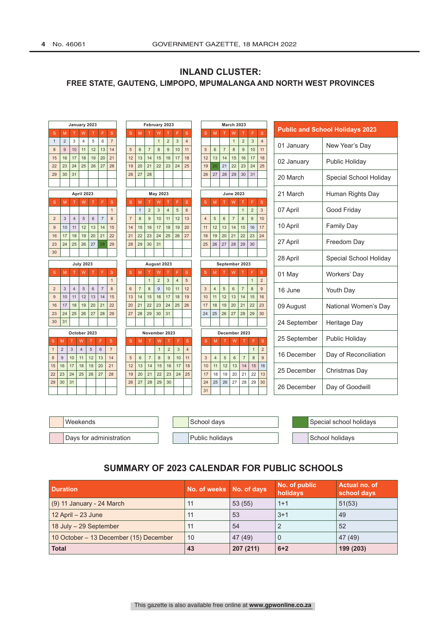| January 2023        |                |                      |                  |                      |                      |                |                      | February 2023        |                      |                |                |                |                |  |                      |                      | <b>March 2023</b>    |                      |                      |                     |                     |                                        |                        |
|---------------------|----------------|----------------------|------------------|----------------------|----------------------|----------------|----------------------|----------------------|----------------------|----------------|----------------|----------------|----------------|--|----------------------|----------------------|----------------------|----------------------|----------------------|---------------------|---------------------|----------------------------------------|------------------------|
| S                   | M              |                      | W                |                      | F                    | $\mathbf S$    | S                    | M                    |                      | W              |                | F              | $\mathbf S$    |  | $\mathbf{s}$         | M                    |                      | W                    |                      | F                   | $\mathbf{s}$        | <b>Public and School Holidays 2023</b> |                        |
| $\mathbf{1}$        | $\overline{2}$ | 3                    | $\overline{4}$   | 5                    | 6                    | $\overline{7}$ |                      |                      |                      | $\mathbf{1}$   | $\overline{2}$ | $\mathbf{3}$   | $\overline{4}$ |  |                      |                      |                      | $\mathbf{1}$         | $\overline{2}$       | $\mathbf{3}$        | $\overline{4}$      | 01 January                             | New Year's Day         |
| 8                   | 9              | 10                   | 11               | 12                   | 13                   | 14             | 5                    | $6\phantom{1}$       | $\overline{7}$       | 8              | 9              | 10             | 11             |  | 5                    | $6\phantom{1}$       | $\overline{7}$       | 8                    | 9                    | 10                  | 11                  |                                        |                        |
| 15<br>22            | 16<br>23       | 17<br>24             | 18<br>25         | 19<br>26             | 20<br>27             | 21<br>28       | 12<br>19             | 13<br>20             | 14<br>21             | 15<br>22       | 16<br>23       | 17<br>24       | 18<br>25       |  | 12<br>19             | 13<br>20             | 14<br>21             | 15<br>22             | 16<br>23             | 17<br>24            | 18<br>25            | 02 January                             | Public Holiday         |
| 29                  | 30             | 31                   |                  |                      |                      |                | 26                   | 27                   | 28                   |                |                |                |                |  | 26                   | 27                   | 28                   | 29                   | 30                   | 31                  |                     | 20 March                               | Special School Holiday |
|                     |                |                      |                  |                      |                      |                |                      |                      |                      |                |                |                |                |  |                      |                      |                      |                      |                      |                     |                     |                                        |                        |
|                     |                |                      | April 2023       |                      |                      |                |                      |                      |                      | May 2023       |                |                |                |  |                      |                      |                      | <b>June 2023</b>     |                      |                     |                     | 21 March                               | Human Rights Day       |
| S                   | M              | T.                   | W                | $\mathsf{T}$         | F                    | $\mathbf S$    | $\mathbf{s}$         | M                    | т                    | W              | т              | F              | S              |  | S                    | M                    | т                    | W                    | т                    | F                   | S                   |                                        |                        |
|                     |                |                      |                  |                      |                      | $\mathbf{1}$   |                      | $\mathbf{1}$         | $\overline{2}$       | $\overline{3}$ | $\overline{4}$ | 5              | $6\phantom{a}$ |  |                      |                      |                      |                      | $\mathbf{1}$         | $\overline{2}$<br>9 | 3                   | Good Friday<br>07 April                |                        |
| $\overline{2}$<br>9 | 3<br>10        | $\overline{4}$<br>11 | 5<br>12          | 6<br>13              | $\overline{7}$<br>14 | 8<br>15        | $\overline{7}$<br>14 | 8<br>15              | 9<br>16              | 10<br>17       | 11<br>18       | 12<br>19       | 13<br>20       |  | $\overline{4}$<br>11 | 5<br>12              | $6\phantom{a}$<br>13 | $\overline{7}$<br>14 | 8<br>15              | 16                  | 10<br>17            | <b>Family Day</b><br>10 April          |                        |
| 16                  | 17             | 18                   | 19               | 20                   | 21                   | 22             | 21                   | 22                   | 23                   | 24             | 25             | 26             | 27             |  | 18                   | 19                   | 20                   | 21                   | 22                   | 23                  | 24                  |                                        |                        |
| 23                  | 24             | 25                   | 26               | 27                   | 28                   | 29             | 28                   | 29                   | 30                   | 31             |                |                |                |  | 25                   | 26                   | 27                   | 28                   | 29                   | 30                  |                     | 27 April                               | Freedom Day            |
| 30                  |                |                      |                  |                      |                      |                |                      |                      |                      |                |                |                |                |  |                      |                      |                      |                      |                      |                     |                     | 28 April                               |                        |
|                     |                |                      | <b>July 2023</b> |                      |                      |                | August 2023          |                      |                      |                |                |                |                |  |                      |                      |                      |                      | September 2023       |                     |                     |                                        | Special School Holiday |
| S                   | M              | T                    | W                | т                    | F                    | S              | <sub>S</sub>         | M                    |                      | W              |                |                | S              |  | S                    | M                    |                      | W                    |                      |                     | S                   | 01 May                                 | Workers' Day           |
|                     |                |                      |                  |                      |                      | $\overline{1}$ |                      |                      | $\mathbf{1}$         | $\overline{c}$ | 3              | $\overline{4}$ | 5              |  |                      |                      |                      |                      |                      | $\overline{1}$      | $\overline{2}$      |                                        |                        |
| $\overline{2}$<br>9 | 3<br>10        | $\overline{4}$<br>11 | 5<br>12          | $6\phantom{1}$<br>13 | $\overline{7}$<br>14 | 8<br>15        | $\,6\,$<br>13        | $\overline{7}$<br>14 | 8<br>15              | 9<br>16        | 10<br>17       | 11<br>18       | 12<br>19       |  | 3<br>10              | $\overline{4}$<br>11 | 5<br>12              | $6\phantom{1}$<br>13 | $\overline{7}$<br>14 | 8<br>15             | 9<br>16             | 16 June<br>Youth Day                   |                        |
| 16                  | 17             | 18                   | 19               | 20                   | 21                   | 22             | 20                   | 21                   | 22                   | 23             | 24             | 25             | 26             |  | 17                   | 18                   | 19                   | 20                   | 21                   | 22                  | 23                  | 09 August                              | National Women's Day   |
| 23                  | 24             | 25                   | 26               | 27                   | 28                   | 29             | 27                   | 28                   | 29                   | 30             | 31             |                |                |  | 24                   | 25                   | 26                   | 27                   | 28                   | 29                  | 30                  |                                        |                        |
| 30                  | 31             |                      |                  |                      |                      |                |                      |                      |                      |                |                |                |                |  |                      |                      |                      |                      |                      |                     |                     | 24 September<br>Heritage Day           |                        |
|                     |                | October 2023         |                  |                      |                      |                |                      |                      | November 2023        |                |                |                |                |  |                      |                      |                      |                      | December 2023        |                     |                     |                                        |                        |
| S                   | M              | $\mathsf{T}$         | W                | т                    | F                    | s.             | S                    | M                    | т                    | W              |                | F              | $\mathbf S$    |  | S                    | M                    |                      | W                    | Т                    | F                   | $\mathbf S$         | 25 September                           | Public Holiday         |
| $\mathbf{1}$        | $\overline{2}$ | 3                    | $\overline{4}$   | 5                    | $6\phantom{1}$       | $\overline{7}$ |                      |                      |                      | $\mathbf{1}$   | $\overline{2}$ | $\overline{3}$ | $\overline{4}$ |  |                      |                      |                      |                      |                      | $\mathbf{1}$        | $\overline{2}$<br>9 | 16 December                            | Day of Reconciliation  |
| 8                   | 9              | 10<br>17             | 11<br>18         | 12<br>19             | 13<br>20             | 14<br>21       | 5<br>12              | $6\phantom{1}$<br>13 | $\overline{7}$<br>14 | 8<br>15        | 9<br>16        | 10<br>17       | 11<br>18       |  | $\mathbf{3}$<br>10   | $\overline{4}$<br>11 | $\sqrt{5}$<br>12     | 6<br>13              | $\overline{7}$<br>14 | 8<br>15             | 16                  |                                        |                        |
| 15<br>22            | 16<br>23       | 24                   | 25               | 26                   | 27                   | 28             | 19                   | 20                   | 21                   | 22             | 23             | 24             | 25             |  | 17                   | 18                   | 19                   | 20                   | 21                   | 22                  | 13                  | 25 December                            | Christmas Day          |
| 29                  | 30             | 31                   |                  |                      |                      |                | 26                   | 27                   | 28                   | 29             | 30             |                |                |  | 24                   | 25                   | 26                   | 27                   | 28                   | 29                  | 30                  | 26 December                            | Day of Goodwill        |
|                     |                |                      |                  |                      |                      |                |                      |                      |                      |                |                |                |                |  | 31                   |                      |                      |                      |                      |                     |                     |                                        |                        |

### **INLAND CLUSTER: FREE STATE, GAUTENG, LIMPOPO, MPUMALANGA AND NORTH WEST PROVINCES**

| Weekends                | School days     | Special school holidays |
|-------------------------|-----------------|-------------------------|
| Days for administration | Public holidays | School holidavs         |

## **SUMMARY OF 2023 CALENDAR FOR PUBLIC SCHOOLS**

| <b>Duration</b>                        | No. of weeks No. of days |           | No. of public<br>holidays | Actual no. of<br>school days |
|----------------------------------------|--------------------------|-----------|---------------------------|------------------------------|
| $(9)$ 11 January - 24 March            | 11                       | 53(55)    | $1 + 1$                   | 51(53)                       |
| $12$ April $-23$ June                  | 11                       | 53        | $3+1$                     | 49                           |
| 18 July - 29 September                 | 11                       | 54        |                           | 52                           |
| 10 October - 13 December (15) December | 10                       | 47 (49)   | 0                         | 47 (49)                      |
| <b>Total</b>                           | 43                       | 207 (211) | $6 + 2$                   | 199 (203)                    |